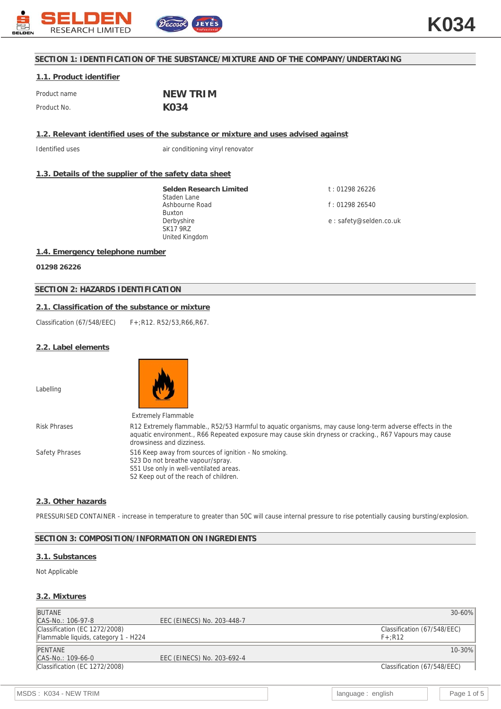

# **SECTION 1: IDENTIFICATION OF THE SUBSTANCE/MIXTURE AND OF THE COMPANY/UNDERTAKING**

# **1.1. Product identifier**

| Product name | NEW TRIM |
|--------------|----------|
| Product No.  | K034     |

**1.2. Relevant identified uses of the substance or mixture and uses advised against**

Identified uses air conditioning vinyl renovator

# **1.3. Details of the supplier of the safety data sheet**

**Selden Research Limited** Staden Lane Ashbourne Road Buxton Derbyshire SK17 9RZ United Kingdom

t : 01298 26226 f : 01298 26540

e : safety@selden.co.uk

# **1.4. Emergency telephone number**

**01298 26226**

# **SECTION 2: HAZARDS IDENTIFICATION**

### **2.1. Classification of the substance or mixture**

Classification (67/548/EEC) F+;R12. R52/53,R66,R67.

### **2.2. Label elements**

Labelling



|                | <b>Extremely Flammable</b>                                                                                                                                                                                                                       |
|----------------|--------------------------------------------------------------------------------------------------------------------------------------------------------------------------------------------------------------------------------------------------|
| Risk Phrases   | R12 Extremely flammable., R52/53 Harmful to aquatic organisms, may cause long-term adverse effects in the<br>aquatic environment., R66 Repeated exposure may cause skin dryness or cracking., R67 Vapours may cause<br>drowsiness and dizziness. |
| Safety Phrases | S16 Keep away from sources of ignition - No smoking.<br>S23 Do not breathe vapour/spray.<br>S51 Use only in well-ventilated areas.<br>S2 Keep out of the reach of children.                                                                      |

# **2.3. Other hazards**

PRESSURISED CONTAINER - increase in temperature to greater than 50C will cause internal pressure to rise potentially causing bursting/explosion.

### **SECTION 3: COMPOSITION/INFORMATION ON INGREDIENTS**

# **3.1. Substances**

### Not Applicable

### **3.2. Mixtures**

| <b>BUTANE</b>                        |                            | $30 - 60%$                  |
|--------------------------------------|----------------------------|-----------------------------|
| CAS-No.: 106-97-8                    | EEC (EINECS) No. 203-448-7 |                             |
| Classification (EC 1272/2008)        |                            | Classification (67/548/EEC) |
| Flammable liquids, category 1 - H224 |                            | $F+$ :R12                   |
| <b>PENTANE</b>                       |                            | 10-30%                      |
| CAS-No.: 109-66-0                    | EEC (EINECS) No. 203-692-4 |                             |
| Classification (EC 1272/2008)        |                            | Classification (67/548/EEC) |
|                                      |                            |                             |
|                                      |                            |                             |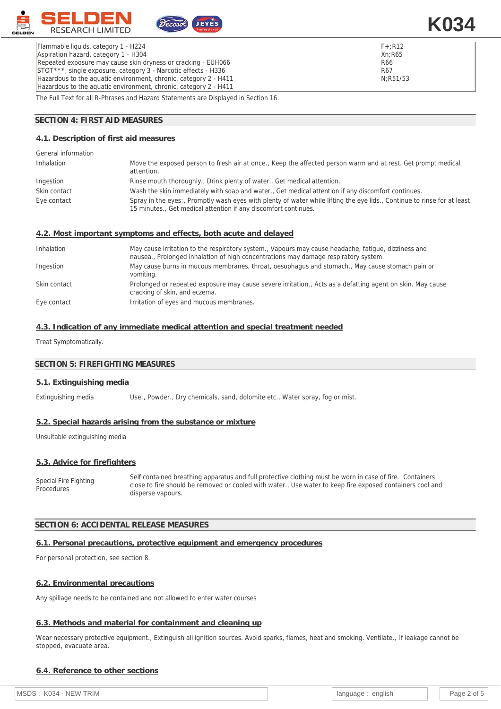

Flammable liquids, category 1 - H224 Aspiration hazard, category 1 - H304 Repeated exposure may cause skin dryness or cracking - EUH066 STOT\*\*\*, single exposure, category 3 - Narcotic effects - H336 Hazardous to the aquatic environment, chronic, category 2 - H411 Hazardous to the aquatic environment, chronic, category 2 - H411 **K034**

The Full Text for all R-Phrases and Hazard Statements are Displayed in Section 16.

### **SECTION 4: FIRST AID MEASURES**

#### **4.1. Description of first aid measures**

| General information |                                                                                                                                                                                            |
|---------------------|--------------------------------------------------------------------------------------------------------------------------------------------------------------------------------------------|
| Inhalation          | Move the exposed person to fresh air at once., Keep the affected person warm and at rest. Get prompt medical<br>attention.                                                                 |
| Ingestion           | Rinse mouth thoroughly., Drink plenty of water., Get medical attention.                                                                                                                    |
| Skin contact        | Wash the skin immediately with soap and water., Get medical attention if any discomfort continues.                                                                                         |
| Eye contact         | Spray in the eyes:, Promptly wash eyes with plenty of water while lifting the eye lids., Continue to rinse for at least<br>15 minutes., Get medical attention if any discomfort continues. |

#### **4.2. Most important symptoms and effects, both acute and delayed**

| Inhalation   | May cause irritation to the respiratory system., Vapours may cause headache, fatique, dizziness and<br>nausea., Prolonged inhalation of high concentrations may damage respiratory system. |
|--------------|--------------------------------------------------------------------------------------------------------------------------------------------------------------------------------------------|
| Ingestion    | May cause burns in mucous membranes, throat, oesophagus and stomach., May cause stomach pain or<br>vomiting.                                                                               |
| Skin contact | Prolonged or repeated exposure may cause severe irritation., Acts as a defatting agent on skin. May cause<br>cracking of skin, and eczema.                                                 |
| Eye contact  | Irritation of eyes and mucous membranes.                                                                                                                                                   |

# **4.3. Indication of any immediate medical attention and special treatment needed**

Treat Symptomatically.

# **SECTION 5: FIREFIGHTING MEASURES**

#### **5.1. Extinguishing media**

Extinguishing media Use:, Powder., Dry chemicals, sand, dolomite etc., Water spray, fog or mist.

#### **5.2. Special hazards arising from the substance or mixture**

Unsuitable extinguishing media

#### **5.3. Advice for firefighters**

Special Fire Fighting **Procedures** Self contained breathing apparatus and full protective clothing must be worn in case of fire. Containers close to fire should be removed or cooled with water., Use water to keep fire exposed containers cool and disperse vapours.

#### **SECTION 6: ACCIDENTAL RELEASE MEASURES**

#### **6.1. Personal precautions, protective equipment and emergency procedures**

For personal protection, see section 8.

#### **6.2. Environmental precautions**

Any spillage needs to be contained and not allowed to enter water courses

#### **6.3. Methods and material for containment and cleaning up**

Wear necessary protective equipment., Extinguish all ignition sources. Avoid sparks, flames, heat and smoking. Ventilate., If leakage cannot be stopped, evacuate area.

### **6.4. Reference to other sections**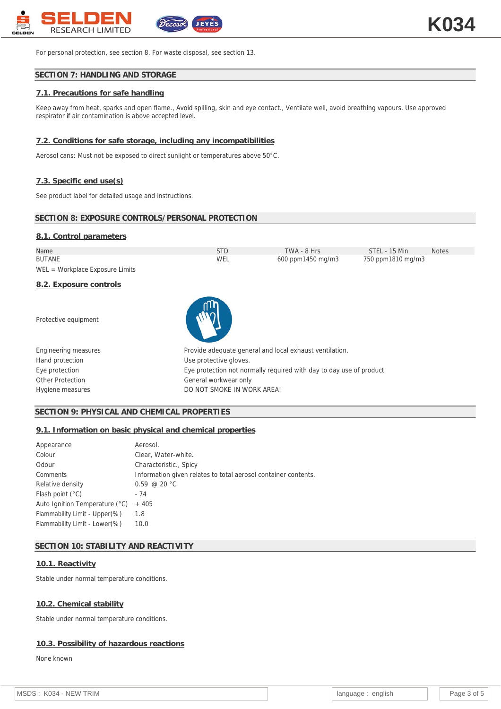

For personal protection, see section 8. For waste disposal, see section 13.

# **SECTION 7: HANDLING AND STORAGE**

# **7.1. Precautions for safe handling**

Keep away from heat, sparks and open flame., Avoid spilling, skin and eye contact., Ventilate well, avoid breathing vapours. Use approved respirator if air contamination is above accepted level.

### **7.2. Conditions for safe storage, including any incompatibilities**

Aerosol cans: Must not be exposed to direct sunlight or temperatures above 50°C.

### **7.3. Specific end use(s)**

See product label for detailed usage and instructions.

# **SECTION 8: EXPOSURE CONTROLS/PERSONAL PROTECTION**

#### **8.1. Control parameters**

| <b>STD</b>                                                          | TWA - 8 Hrs       | STEL - 15 Min                                           | <b>Notes</b>      |
|---------------------------------------------------------------------|-------------------|---------------------------------------------------------|-------------------|
| <b>WEL</b>                                                          | 600 ppm1450 mg/m3 |                                                         |                   |
|                                                                     |                   |                                                         |                   |
|                                                                     |                   |                                                         |                   |
|                                                                     |                   |                                                         |                   |
|                                                                     |                   |                                                         |                   |
| Use protective gloves.                                              |                   |                                                         |                   |
| Eye protection not normally required with day to day use of product |                   |                                                         |                   |
| General workwear only                                               |                   |                                                         |                   |
|                                                                     |                   |                                                         |                   |
|                                                                     |                   | Provide adequate general and local exhaust ventilation. | 750 ppm1810 mg/m3 |

### **SECTION 9: PHYSICAL AND CHEMICAL PROPERTIES**

### **9.1. Information on basic physical and chemical properties**

| Aerosol.                                                       |
|----------------------------------------------------------------|
| Clear, Water-white.                                            |
| Characteristic., Spicy                                         |
| Information given relates to total aerosol container contents. |
| $0.59 \ @ 20 °C$                                               |
| - 74                                                           |
| $+405$                                                         |
| 1.8                                                            |
| 10.0                                                           |
|                                                                |

### **SECTION 10: STABILITY AND REACTIVITY**

#### **10.1. Reactivity**

Stable under normal temperature conditions.

### **10.2. Chemical stability**

Stable under normal temperature conditions.

# **10.3. Possibility of hazardous reactions**

None known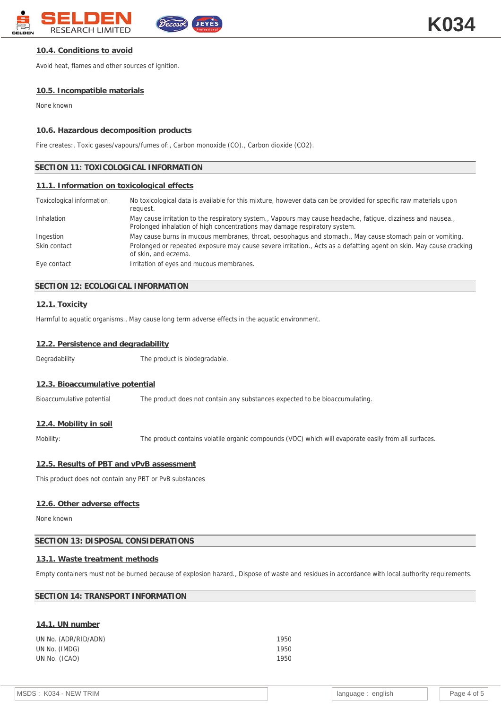

# **10.4. Conditions to avoid**

Avoid heat, flames and other sources of ignition.

#### **10.5. Incompatible materials**

None known

#### **10.6. Hazardous decomposition products**

Fire creates:, Toxic gases/vapours/fumes of:, Carbon monoxide (CO)., Carbon dioxide (CO2).

## **SECTION 11: TOXICOLOGICAL INFORMATION**

#### **11.1. Information on toxicological effects**

| Toxicological information | No toxicological data is available for this mixture, however data can be provided for specific raw materials upon<br>request.                                                              |
|---------------------------|--------------------------------------------------------------------------------------------------------------------------------------------------------------------------------------------|
| Inhalation                | May cause irritation to the respiratory system., Vapours may cause headache, fatigue, dizziness and nausea.,<br>Prolonged inhalation of high concentrations may damage respiratory system. |
| Ingestion                 | May cause burns in mucous membranes, throat, oesophagus and stomach., May cause stomach pain or vomiting.                                                                                  |
| Skin contact              | Prolonged or repeated exposure may cause severe irritation., Acts as a defatting agent on skin. May cause cracking<br>of skin, and eczema.                                                 |
| Eye contact               | Irritation of eyes and mucous membranes.                                                                                                                                                   |

### **SECTION 12: ECOLOGICAL INFORMATION**

#### **12.1. Toxicity**

Harmful to aquatic organisms., May cause long term adverse effects in the aquatic environment.

#### **12.2. Persistence and degradability**

Degradability The product is biodegradable.

#### **12.3. Bioaccumulative potential**

Bioaccumulative potential The product does not contain any substances expected to be bioaccumulating.

### **12.4. Mobility in soil**

Mobility: The product contains volatile organic compounds (VOC) which will evaporate easily from all surfaces.

#### **12.5. Results of PBT and vPvB assessment**

This product does not contain any PBT or PvB substances

#### **12.6. Other adverse effects**

None known

### **SECTION 13: DISPOSAL CONSIDERATIONS**

### **13.1. Waste treatment methods**

Empty containers must not be burned because of explosion hazard., Dispose of waste and residues in accordance with local authority requirements.

### **SECTION 14: TRANSPORT INFORMATION**

# **14.1. UN number**

| UN No. (ADR/RID/ADN) | 1950 |
|----------------------|------|
| UN No. (IMDG)        | 1950 |
| UN No. (ICAO)        | 1950 |